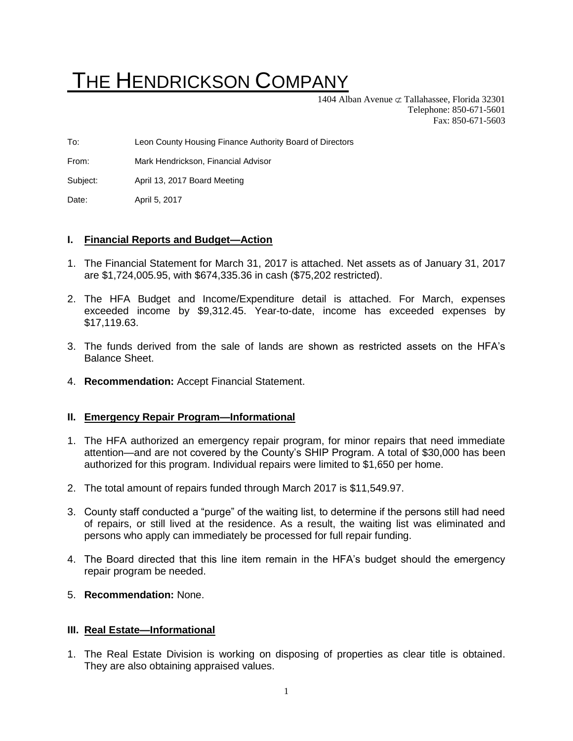# THE HENDRICKSON COMPANY

1404 Alban Avenue  $\sigma$  Tallahassee, Florida 32301 Telephone: 850-671-5601 Fax: 850-671-5603

To: Leon County Housing Finance Authority Board of Directors

From: Mark Hendrickson, Financial Advisor

Subject: April 13, 2017 Board Meeting

Date: April 5, 2017

### **I. Financial Reports and Budget—Action**

- 1. The Financial Statement for March 31, 2017 is attached. Net assets as of January 31, 2017 are \$1,724,005.95, with \$674,335.36 in cash (\$75,202 restricted).
- 2. The HFA Budget and Income/Expenditure detail is attached. For March, expenses exceeded income by \$9,312.45. Year-to-date, income has exceeded expenses by \$17,119.63.
- 3. The funds derived from the sale of lands are shown as restricted assets on the HFA's Balance Sheet.
- 4. **Recommendation:** Accept Financial Statement.

### **II. Emergency Repair Program—Informational**

- 1. The HFA authorized an emergency repair program, for minor repairs that need immediate attention—and are not covered by the County's SHIP Program. A total of \$30,000 has been authorized for this program. Individual repairs were limited to \$1,650 per home.
- 2. The total amount of repairs funded through March 2017 is \$11,549.97.
- 3. County staff conducted a "purge" of the waiting list, to determine if the persons still had need of repairs, or still lived at the residence. As a result, the waiting list was eliminated and persons who apply can immediately be processed for full repair funding.
- 4. The Board directed that this line item remain in the HFA's budget should the emergency repair program be needed.
- 5. **Recommendation:** None.

### **III. Real Estate—Informational**

1. The Real Estate Division is working on disposing of properties as clear title is obtained. They are also obtaining appraised values.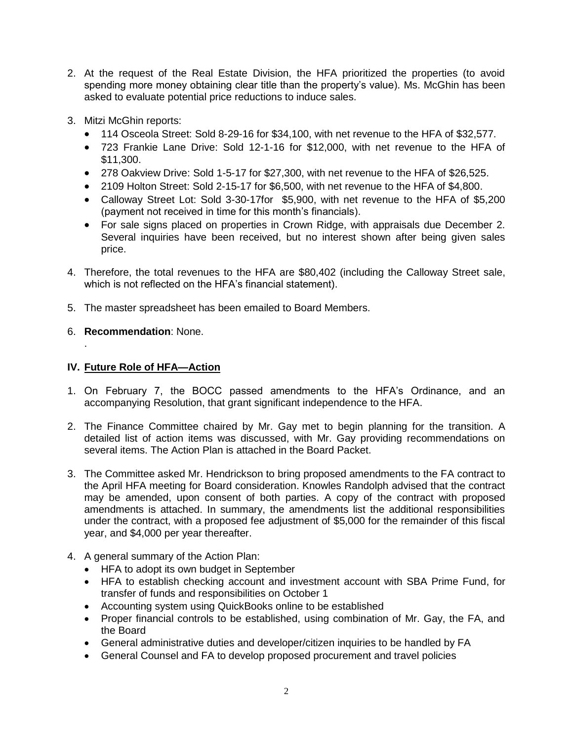- 2. At the request of the Real Estate Division, the HFA prioritized the properties (to avoid spending more money obtaining clear title than the property's value). Ms. McGhin has been asked to evaluate potential price reductions to induce sales.
- 3. Mitzi McGhin reports:
	- 114 Osceola Street: Sold 8-29-16 for \$34,100, with net revenue to the HFA of \$32,577.
	- 723 Frankie Lane Drive: Sold 12-1-16 for \$12,000, with net revenue to the HFA of \$11,300.
	- 278 Oakview Drive: Sold 1-5-17 for \$27,300, with net revenue to the HFA of \$26,525.
	- 2109 Holton Street: Sold 2-15-17 for \$6,500, with net revenue to the HFA of \$4,800.
	- Calloway Street Lot: Sold 3-30-17for \$5,900, with net revenue to the HFA of \$5,200 (payment not received in time for this month's financials).
	- For sale signs placed on properties in Crown Ridge, with appraisals due December 2. Several inquiries have been received, but no interest shown after being given sales price.
- 4. Therefore, the total revenues to the HFA are \$80,402 (including the Calloway Street sale, which is not reflected on the HFA's financial statement).
- 5. The master spreadsheet has been emailed to Board Members.
- 6. **Recommendation**: None.

.

## **IV. Future Role of HFA—Action**

- 1. On February 7, the BOCC passed amendments to the HFA's Ordinance, and an accompanying Resolution, that grant significant independence to the HFA.
- 2. The Finance Committee chaired by Mr. Gay met to begin planning for the transition. A detailed list of action items was discussed, with Mr. Gay providing recommendations on several items. The Action Plan is attached in the Board Packet.
- 3. The Committee asked Mr. Hendrickson to bring proposed amendments to the FA contract to the April HFA meeting for Board consideration. Knowles Randolph advised that the contract may be amended, upon consent of both parties. A copy of the contract with proposed amendments is attached. In summary, the amendments list the additional responsibilities under the contract, with a proposed fee adjustment of \$5,000 for the remainder of this fiscal year, and \$4,000 per year thereafter.
- 4. A general summary of the Action Plan:
	- HFA to adopt its own budget in September
	- HFA to establish checking account and investment account with SBA Prime Fund, for transfer of funds and responsibilities on October 1
	- Accounting system using QuickBooks online to be established
	- Proper financial controls to be established, using combination of Mr. Gay, the FA, and the Board
	- General administrative duties and developer/citizen inquiries to be handled by FA
	- General Counsel and FA to develop proposed procurement and travel policies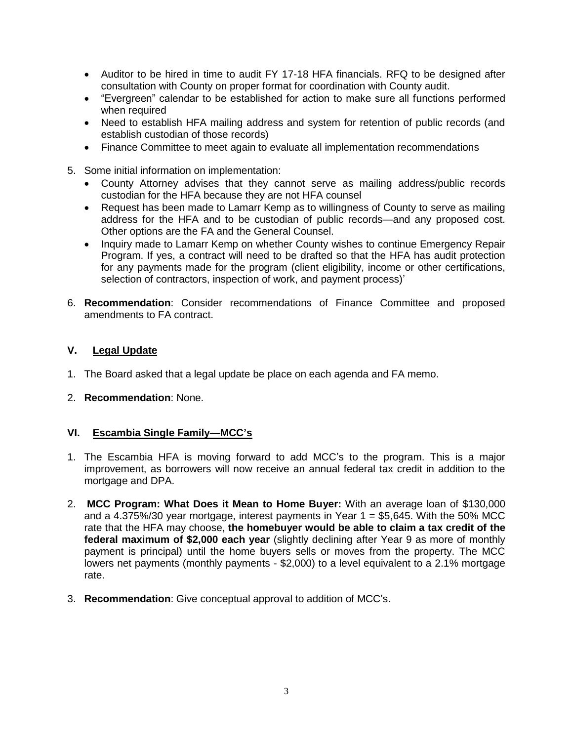- Auditor to be hired in time to audit FY 17-18 HFA financials. RFQ to be designed after consultation with County on proper format for coordination with County audit.
- "Evergreen" calendar to be established for action to make sure all functions performed when required
- Need to establish HFA mailing address and system for retention of public records (and establish custodian of those records)
- Finance Committee to meet again to evaluate all implementation recommendations
- 5. Some initial information on implementation:
	- County Attorney advises that they cannot serve as mailing address/public records custodian for the HFA because they are not HFA counsel
	- Request has been made to Lamarr Kemp as to willingness of County to serve as mailing address for the HFA and to be custodian of public records—and any proposed cost. Other options are the FA and the General Counsel.
	- Inquiry made to Lamarr Kemp on whether County wishes to continue Emergency Repair Program. If yes, a contract will need to be drafted so that the HFA has audit protection for any payments made for the program (client eligibility, income or other certifications, selection of contractors, inspection of work, and payment process)'
- 6. **Recommendation**: Consider recommendations of Finance Committee and proposed amendments to FA contract.

## **V. Legal Update**

- 1. The Board asked that a legal update be place on each agenda and FA memo.
- 2. **Recommendation**: None.

### **VI. Escambia Single Family—MCC's**

- 1. The Escambia HFA is moving forward to add MCC's to the program. This is a major improvement, as borrowers will now receive an annual federal tax credit in addition to the mortgage and DPA.
- 2. **MCC Program: What Does it Mean to Home Buyer:** With an average loan of \$130,000 and a 4.375%/30 year mortgage, interest payments in Year  $1 = $5,645$ . With the 50% MCC rate that the HFA may choose, **the homebuyer would be able to claim a tax credit of the federal maximum of \$2,000 each year** (slightly declining after Year 9 as more of monthly payment is principal) until the home buyers sells or moves from the property. The MCC lowers net payments (monthly payments - \$2,000) to a level equivalent to a 2.1% mortgage rate.
- 3. **Recommendation**: Give conceptual approval to addition of MCC's.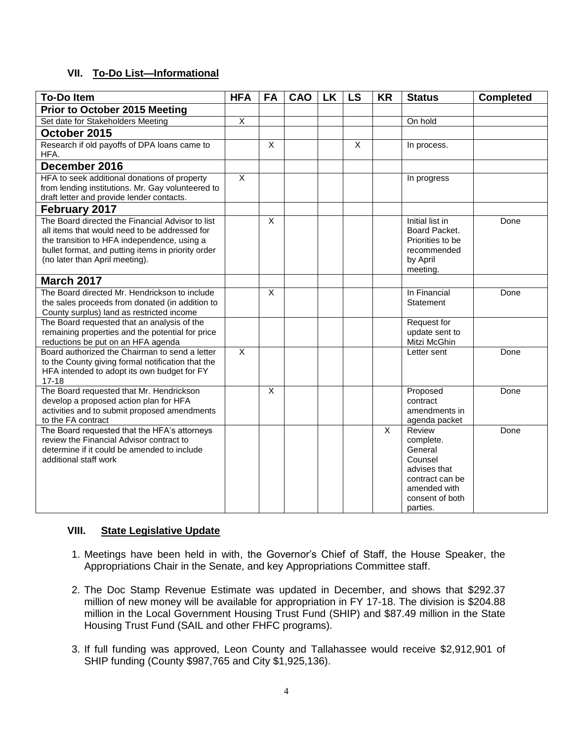## **VII. To-Do List—Informational**

| <b>To-Do Item</b>                                                                                                                                                                                                                        | <b>HFA</b>     | FA                      | <b>CAO</b> | <b>LK</b> | <b>LS</b>               | <b>KR</b>    | <b>Status</b>                                                                                                               | <b>Completed</b> |
|------------------------------------------------------------------------------------------------------------------------------------------------------------------------------------------------------------------------------------------|----------------|-------------------------|------------|-----------|-------------------------|--------------|-----------------------------------------------------------------------------------------------------------------------------|------------------|
| <b>Prior to October 2015 Meeting</b>                                                                                                                                                                                                     |                |                         |            |           |                         |              |                                                                                                                             |                  |
| Set date for Stakeholders Meeting                                                                                                                                                                                                        | $\overline{X}$ |                         |            |           |                         |              | On hold                                                                                                                     |                  |
| October 2015                                                                                                                                                                                                                             |                |                         |            |           |                         |              |                                                                                                                             |                  |
| Research if old payoffs of DPA loans came to<br>HFA.                                                                                                                                                                                     |                | $\overline{\mathsf{x}}$ |            |           | $\overline{\mathsf{x}}$ |              | In process.                                                                                                                 |                  |
| December 2016                                                                                                                                                                                                                            |                |                         |            |           |                         |              |                                                                                                                             |                  |
| HFA to seek additional donations of property<br>from lending institutions. Mr. Gay volunteered to<br>draft letter and provide lender contacts.                                                                                           | $\sf X$        |                         |            |           |                         |              | In progress                                                                                                                 |                  |
| February 2017                                                                                                                                                                                                                            |                |                         |            |           |                         |              |                                                                                                                             |                  |
| The Board directed the Financial Advisor to list<br>all items that would need to be addressed for<br>the transition to HFA independence, using a<br>bullet format, and putting items in priority order<br>(no later than April meeting). |                | $\overline{\mathsf{x}}$ |            |           |                         |              | Initial list in<br>Board Packet.<br>Priorities to be<br>recommended<br>by April<br>meeting.                                 | Done             |
| <b>March 2017</b>                                                                                                                                                                                                                        |                |                         |            |           |                         |              |                                                                                                                             |                  |
| The Board directed Mr. Hendrickson to include<br>the sales proceeds from donated (in addition to<br>County surplus) land as restricted income                                                                                            |                | $\times$                |            |           |                         |              | In Financial<br>Statement                                                                                                   | Done             |
| The Board requested that an analysis of the<br>remaining properties and the potential for price<br>reductions be put on an HFA agenda                                                                                                    |                |                         |            |           |                         |              | Request for<br>update sent to<br>Mitzi McGhin                                                                               |                  |
| Board authorized the Chairman to send a letter<br>to the County giving formal notification that the<br>HFA intended to adopt its own budget for FY<br>$17 - 18$                                                                          | $\sf X$        |                         |            |           |                         |              | Letter sent                                                                                                                 | Done             |
| The Board requested that Mr. Hendrickson<br>develop a proposed action plan for HFA<br>activities and to submit proposed amendments<br>to the FA contract                                                                                 |                | $\overline{X}$          |            |           |                         |              | Proposed<br>contract<br>amendments in<br>agenda packet                                                                      | Done             |
| The Board requested that the HFA's attorneys<br>review the Financial Advisor contract to<br>determine if it could be amended to include<br>additional staff work                                                                         |                |                         |            |           |                         | $\mathsf{X}$ | Review<br>complete.<br>General<br>Counsel<br>advises that<br>contract can be<br>amended with<br>consent of both<br>parties. | Done             |

## **VIII. State Legislative Update**

- 1. Meetings have been held in with, the Governor's Chief of Staff, the House Speaker, the Appropriations Chair in the Senate, and key Appropriations Committee staff.
- 2. The Doc Stamp Revenue Estimate was updated in December, and shows that \$292.37 million of new money will be available for appropriation in FY 17-18. The division is \$204.88 million in the Local Government Housing Trust Fund (SHIP) and \$87.49 million in the State Housing Trust Fund (SAIL and other FHFC programs).
- 3. If full funding was approved, Leon County and Tallahassee would receive \$2,912,901 of SHIP funding (County \$987,765 and City \$1,925,136).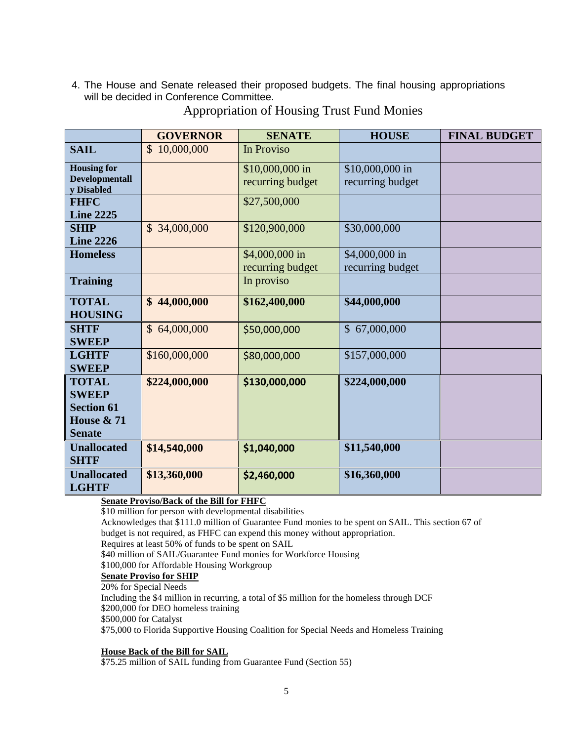4. The House and Senate released their proposed budgets. The final housing appropriations will be decided in Conference Committee.

|                                     | <b>GOVERNOR</b>             | <b>SENATE</b>    | <b>HOUSE</b>     | <b>FINAL BUDGET</b> |
|-------------------------------------|-----------------------------|------------------|------------------|---------------------|
| <b>SAIL</b>                         | $\mathcal{S}$<br>10,000,000 | In Proviso       |                  |                     |
| <b>Housing for</b>                  |                             | \$10,000,000 in  | \$10,000,000 in  |                     |
| <b>Developmentall</b><br>y Disabled |                             | recurring budget | recurring budget |                     |
| <b>FHFC</b>                         |                             | \$27,500,000     |                  |                     |
| <b>Line 2225</b>                    |                             |                  |                  |                     |
| <b>SHIP</b>                         | \$34,000,000                | \$120,900,000    | \$30,000,000     |                     |
| <b>Line 2226</b>                    |                             |                  |                  |                     |
| <b>Homeless</b>                     |                             | \$4,000,000 in   | \$4,000,000 in   |                     |
|                                     |                             | recurring budget | recurring budget |                     |
| <b>Training</b>                     |                             | In proviso       |                  |                     |
| <b>TOTAL</b>                        | \$44,000,000                | \$162,400,000    | \$44,000,000     |                     |
| <b>HOUSING</b>                      |                             |                  |                  |                     |
| <b>SHTF</b>                         | \$64,000,000                | \$50,000,000     | \$67,000,000     |                     |
| <b>SWEEP</b>                        |                             |                  |                  |                     |
| <b>LGHTF</b>                        | \$160,000,000               | \$80,000,000     | \$157,000,000    |                     |
| <b>SWEEP</b>                        |                             |                  |                  |                     |
| <b>TOTAL</b>                        | \$224,000,000               | \$130,000,000    | \$224,000,000    |                     |
| <b>SWEEP</b>                        |                             |                  |                  |                     |
| <b>Section 61</b>                   |                             |                  |                  |                     |
| House & 71                          |                             |                  |                  |                     |
| <b>Senate</b>                       |                             |                  |                  |                     |
| <b>Unallocated</b>                  | \$14,540,000                | \$1,040,000      | \$11,540,000     |                     |
| <b>SHTF</b>                         |                             |                  |                  |                     |
| <b>Unallocated</b>                  | \$13,360,000                | \$2,460,000      | \$16,360,000     |                     |
| <b>LGHTF</b>                        |                             |                  |                  |                     |

Appropriation of Housing Trust Fund Monies

## **Senate Proviso/Back of the Bill for FHFC**

\$10 million for person with developmental disabilities

Acknowledges that \$111.0 million of Guarantee Fund monies to be spent on SAIL. This section 67 of budget is not required, as FHFC can expend this money without appropriation.

Requires at least 50% of funds to be spent on SAIL

\$40 million of SAIL/Guarantee Fund monies for Workforce Housing

\$100,000 for Affordable Housing Workgroup

## **Senate Proviso for SHIP**

20% for Special Needs

Including the \$4 million in recurring, a total of \$5 million for the homeless through DCF \$200,000 for DEO homeless training

\$500,000 for Catalyst

\$75,000 to Florida Supportive Housing Coalition for Special Needs and Homeless Training

### **House Back of the Bill for SAIL**

\$75.25 million of SAIL funding from Guarantee Fund (Section 55)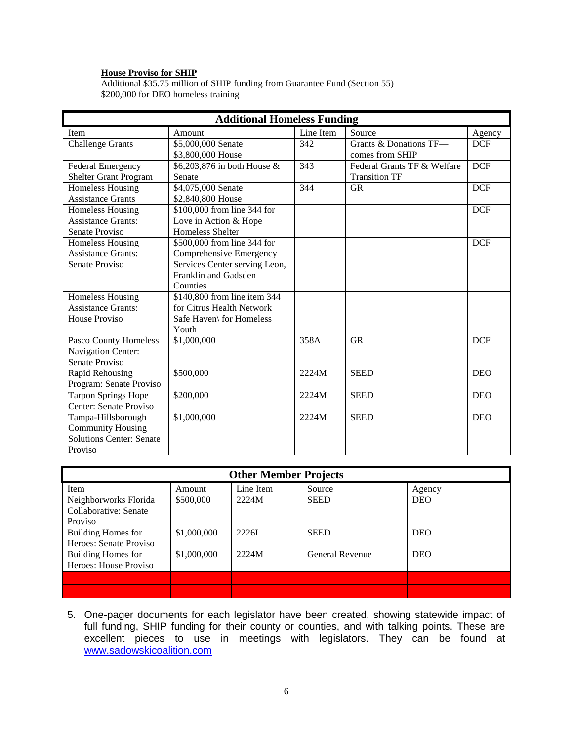#### **House Proviso for SHIP**

Additional \$35.75 million of SHIP funding from Guarantee Fund (Section 55) \$200,000 for DEO homeless training

| <b>Additional Homeless Funding</b> |                               |           |                             |            |  |
|------------------------------------|-------------------------------|-----------|-----------------------------|------------|--|
| Item                               | Amount                        | Line Item | Source                      | Agency     |  |
| <b>Challenge Grants</b>            | \$5,000,000 Senate            | 342       | Grants & Donations TF-      | <b>DCF</b> |  |
|                                    | \$3,800,000 House             |           | comes from SHIP             |            |  |
| Federal Emergency                  | \$6,203,876 in both House &   | 343       | Federal Grants TF & Welfare | <b>DCF</b> |  |
| Shelter Grant Program              | Senate                        |           | <b>Transition TF</b>        |            |  |
| Homeless Housing                   | \$4,075,000 Senate            | 344       | <b>GR</b>                   | <b>DCF</b> |  |
| <b>Assistance Grants</b>           | \$2,840,800 House             |           |                             |            |  |
| Homeless Housing                   | \$100,000 from line 344 for   |           |                             | <b>DCF</b> |  |
| <b>Assistance Grants:</b>          | Love in Action & Hope         |           |                             |            |  |
| Senate Proviso                     | <b>Homeless Shelter</b>       |           |                             |            |  |
| <b>Homeless Housing</b>            | \$500,000 from line 344 for   |           |                             | <b>DCF</b> |  |
| <b>Assistance Grants:</b>          | Comprehensive Emergency       |           |                             |            |  |
| Senate Proviso                     | Services Center serving Leon, |           |                             |            |  |
|                                    | Franklin and Gadsden          |           |                             |            |  |
|                                    | Counties                      |           |                             |            |  |
| Homeless Housing                   | \$140,800 from line item 344  |           |                             |            |  |
| <b>Assistance Grants:</b>          | for Citrus Health Network     |           |                             |            |  |
| House Proviso                      | Safe Haven\ for Homeless      |           |                             |            |  |
|                                    | Youth                         |           |                             |            |  |
| Pasco County Homeless              | \$1,000,000                   | 358A      | <b>GR</b>                   | <b>DCF</b> |  |
| Navigation Center:                 |                               |           |                             |            |  |
| Senate Proviso                     |                               |           |                             |            |  |
| Rapid Rehousing                    | \$500,000                     | 2224M     | <b>SEED</b>                 | <b>DEO</b> |  |
| Program: Senate Proviso            |                               |           |                             |            |  |
| <b>Tarpon Springs Hope</b>         | \$200,000                     | 2224M     | <b>SEED</b>                 | <b>DEO</b> |  |
| Center: Senate Proviso             |                               |           |                             |            |  |
| Tampa-Hillsborough                 | \$1,000,000                   | 2224M     | <b>SEED</b>                 | <b>DEO</b> |  |
| <b>Community Housing</b>           |                               |           |                             |            |  |
| <b>Solutions Center: Senate</b>    |                               |           |                             |            |  |
| Proviso                            |                               |           |                             |            |  |

| <b>Other Member Projects</b> |             |           |                        |            |  |
|------------------------------|-------------|-----------|------------------------|------------|--|
| Item                         | Amount      | Line Item | Source                 | Agency     |  |
| Neighborworks Florida        | \$500,000   | 2224M     | <b>SEED</b>            | <b>DEO</b> |  |
| Collaborative: Senate        |             |           |                        |            |  |
| Proviso                      |             |           |                        |            |  |
| Building Homes for           | \$1,000,000 | 2226L     | <b>SEED</b>            | <b>DEO</b> |  |
| Heroes: Senate Proviso       |             |           |                        |            |  |
| Building Homes for           | \$1,000,000 | 2224M     | <b>General Revenue</b> | <b>DEO</b> |  |
| Heroes: House Proviso        |             |           |                        |            |  |
|                              |             |           |                        |            |  |
|                              |             |           |                        |            |  |

5. One-pager documents for each legislator have been created, showing statewide impact of full funding, SHIP funding for their county or counties, and with talking points. These are excellent pieces to use in meetings with legislators. They can be found at [www.sadowskicoalition.com](http://www.sadowskicoalition.com/)